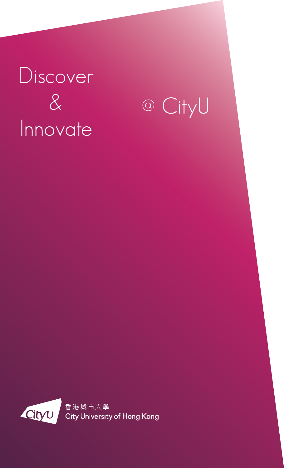## Discover & Innovate

@ CityU

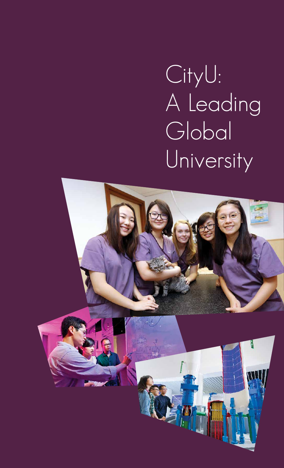# CityU: A Leading Global University

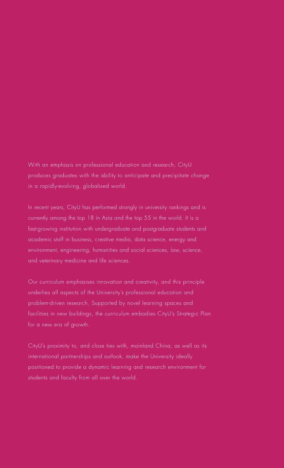With an emphasis on professional education and research, CityU produces graduates with the ability to anticipate and precipitate change in a rapidly-evolving, globalised world.

In recent years, CityU has performed strongly in university rankings and is currently among the top 18 in Asia and the top 55 in the world. It is a fast-growing institution with undergraduate and postgraduate students and academic staff in business, creative media, data science, energy and environment, engineering, humanities and social sciences, law, science, and veterinary medicine and life sciences.

Our curriculum emphasises innovation and creativity, and this principle underlies all aspects of the University's professional education and problem-driven research. Supported by novel learning spaces and facilities in new buildings, the curriculum embodies CityU's Strategic Plan for a new era of growth.

CityU's proximity to, and close ties with, mainland China, as well as its international partnerships and outlook, make the University ideally positioned to provide a dynamic learning and research environment for students and faculty from all over the world.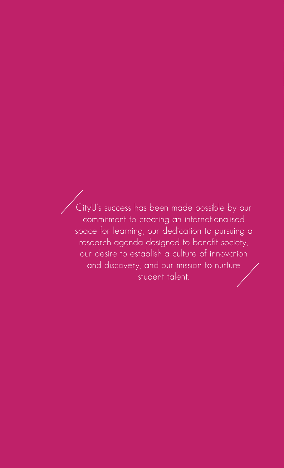CityU's success has been made possible by our commitment to creating an internationalised space for learning, our dedication to pursuing a research agenda designed to benefit society, our desire to establish a culture of innovation and discovery, and our mission to nurture student talent.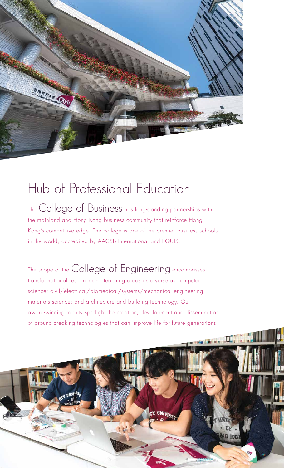

### Hub of Professional Education

The College of Business has long-standing partnerships with the mainland and Hong Kong business community that reinforce Hong Kong's competitive edge. The college is one of the premier business schools in the world, accredited by AACSB International and EQUIS.

The scope of the College of Engineering encompasses transformational research and teaching areas as diverse as computer science; civil/electrical/biomedical/systems/mechanical engineering; materials science; and architecture and building technology. Our award-winning faculty spotlight the creation, development and dissemination of ground-breaking technologies that can improve life for future generations.

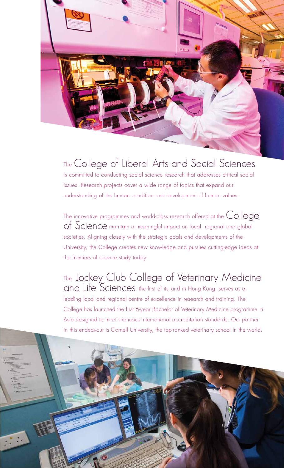

### The College of Liberal Arts and Social Sciences

is committed to conducting social science research that addresses critical social issues. Research projects cover a wide range of topics that expand our understanding of the human condition and development of human values.

The innovative programmes and world-class research offered at the College<br>of Science maintain a meaningful impact on local, regional and global societies. Aligning closely with the strategic goals and developments of the University, the College creates new knowledge and pursues cutting-edge ideas at the frontiers of science study today.

The Jockey Club College of Veterinary Medicine<br>and Life Sciences, the first of its kind in Hong Kong, serves as a leading local and regional centre of excellence in research and training. The College has launched the first 6-year Bachelor of Veterinary Medicine programme in Asia designed to meet strenuous international accreditation standards. Our partner in this endeavour is Cornell University, the top-ranked veterinary school in the world.

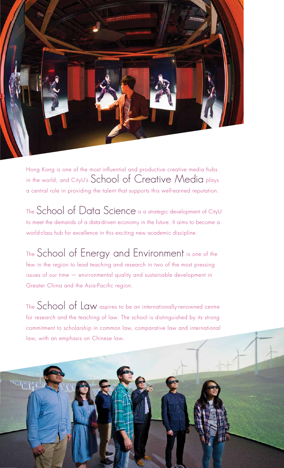

Hong Kong is one of the most influential and productive creative media hubs in the world, and CityU's School of Creative Media plays a central role in providing the talent that supports this well-earned reputation.

The School of Data Science is a strategic development of CityU to meet the demands of a data-driven economy in the future. It aims to become a world-class hub for excellence in this exciting new academic discipline.

The School of Energy and Environment is one of the few in the region to lead teaching and research in two of the most pressing issues of our time — environmental quality and sustainable development in Greater China and the Asia-Pacific region.

The School of Law aspires to be an internationally-renowned centre for research and the teaching of law. The school is distinguished by its strong commitment to scholarship in common law, comparative law and international law, with an emphasis on Chinese law.

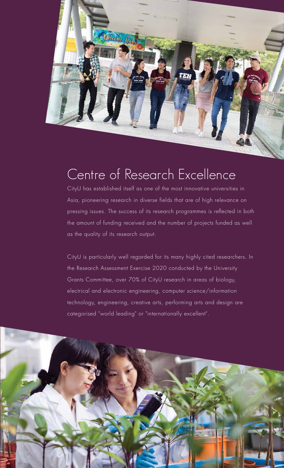

Williams Hot

CityU has established itself as one of the most innovative universities in Asia, pioneering research in diverse fields that are of high relevance on pressing issues. The success of its research programmes is reflected in both the amount of funding received and the number of projects funded as well as the quality of its research output.

CityU is particularly well regarded for its many highly cited researchers. In the Research Assessment Exercise 2020 conducted by the University Grants Committee, over 70% of CityU research in areas of biology, electrical and electronic engineering, computer science/information technology, engineering, creative arts, performing arts and design are categorised "world leading" or "internationally excellent".

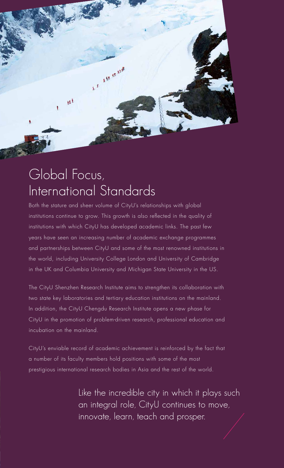

### Global Focus, International Standards

Both the stature and sheer volume of CityU's relationships with global institutions continue to grow. This growth is also reflected in the quality of institutions with which CityU has developed academic links. The past few years have seen an increasing number of academic exchange programmes and partnerships between CityU and some of the most renowned institutions in the world, including University College London and University of Cambridge in the UK and Columbia University and Michigan State University in the US.

The CityU Shenzhen Research Institute aims to strengthen its collaboration with two state key laboratories and tertiary education institutions on the mainland. In addition, the CityU Chengdu Research Institute opens a new phase for CityU in the promotion of problem-driven research, professional education and incubation on the mainland.

CityU's enviable record of academic achievement is reinforced by the fact that a number of its faculty members hold positions with some of the most prestigious international research bodies in Asia and the rest of the world.

> Like the incredible city in which it plays such an integral role, CityU continues to move, innovate, learn, teach and prosper.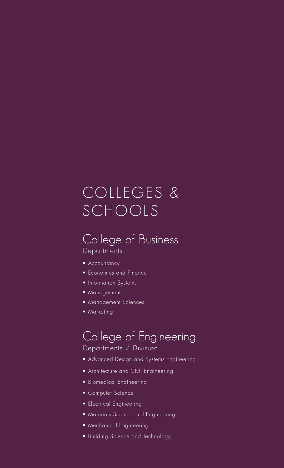### COLLEGES & SCHOOLS

#### College of Business **Departments**

- Accountancy
- Economics and Finance
- Information Systems
- Management
- Management Sciences
- Marketing

#### College of Engineering Departments / Division

- Advanced Design and Systems Engineering
- Architecture and Civil Engineering
- Biomedical Engineering
- Computer Science
- Electrical Engineering
- Materials Science and Engineering
- Mechanical Engineering
- Building Science and Technology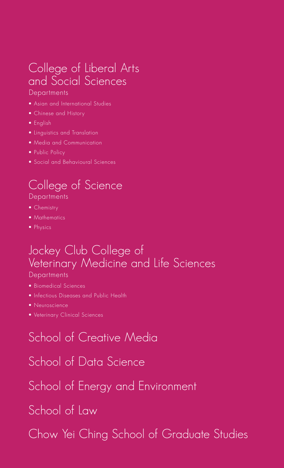### College of Liberal Arts and Social Sciences

#### **Departments**

- Asian and International Studies
- Chinese and History
- English
- Linguistics and Translation
- Media and Communication
- Public Policy
- Social and Behavioural Sciences

#### College of Science **Departments**

- Chemistry
- Mathematics
- Physics

#### Jockey Club College of Veterinary Medicine and Life Sciences **Departments**

- Biomedical Sciences
- Infectious Diseases and Public Health
- Neuroscience
- Veterinary Clinical Sciences

### School of Creative Media

School of Data Science

School of Energy and Environment

School of Law

Chow Yei Ching School of Graduate Studies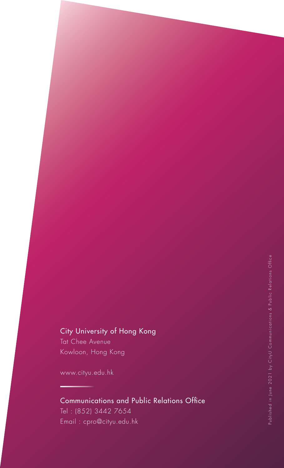#### City University of Hong Kong

Tat Chee Avenue Kowloon, Hong Kong

www.cityu.edu.hk

#### Communications and Public Relations Office Tel : (852) 3442 7654 Email : cpro@cityu.edu.hk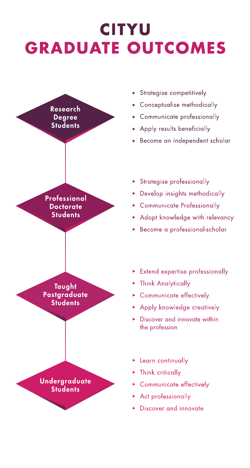### **CITYU GRADUATE OUTCOMES**



- > Strategise competitively
- Conceptualise methodically
- Communicate professionally
- Apply results beneficially
- Become an independent scholar

#### Strategise professionally

- Develop insights methodically
- Communicate Professionally
- Adopt knowledge with relevancy
- Become a professional-scholar

- **Extend expertise professionally**
- **Think Analytically**
- Communicate effectively
- Apply knowledge creatively
- Discover and innovate within the profession
- Learn continually
- $\triangleright$  Think critically
- Communicate effectively
- Act professionally
- Discover and innovate